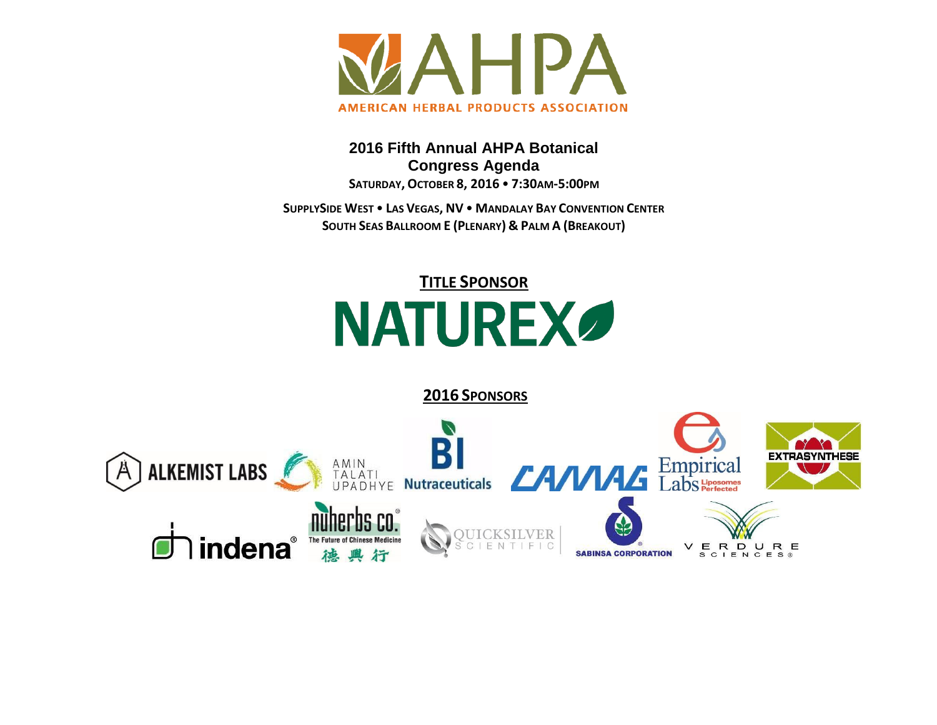

**2016 Fifth Annual AHPA Botanical Congress Agenda SATURDAY, OCTOBER 8, 2016** • **7:30AM-5:00PM**

**SUPPLYSIDE WEST** • **LAS VEGAS, NV** • **MANDALAY BAY CONVENTION CENTER SOUTH SEAS BALLROOM E (PLENARY) & PALM A (BREAKOUT)**

# **TITLE SPONSOR NATUREX**

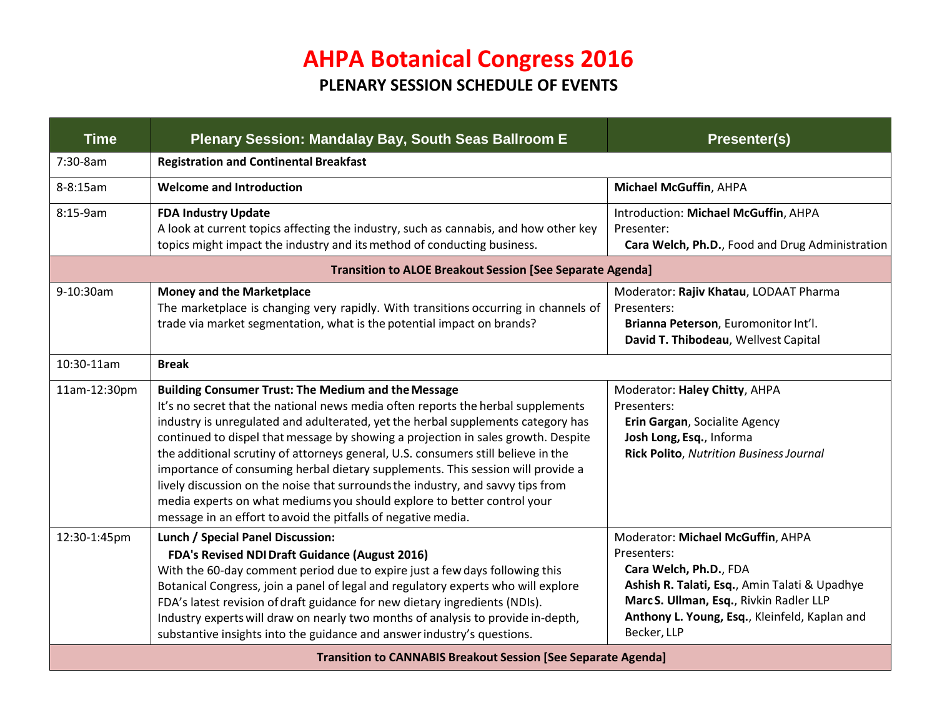## **AHPA Botanical Congress 2016**

#### **PLENARY SESSION SCHEDULE OF EVENTS**

| <b>Time</b>                                                          | Plenary Session: Mandalay Bay, South Seas Ballroom E                                                                                                                                                                                                                                                                                                                                                                                                                                                                                                                                                                                                                                                                           | <b>Presenter(s)</b>                                                                                                                                                                                                                    |  |
|----------------------------------------------------------------------|--------------------------------------------------------------------------------------------------------------------------------------------------------------------------------------------------------------------------------------------------------------------------------------------------------------------------------------------------------------------------------------------------------------------------------------------------------------------------------------------------------------------------------------------------------------------------------------------------------------------------------------------------------------------------------------------------------------------------------|----------------------------------------------------------------------------------------------------------------------------------------------------------------------------------------------------------------------------------------|--|
| 7:30-8am                                                             | <b>Registration and Continental Breakfast</b>                                                                                                                                                                                                                                                                                                                                                                                                                                                                                                                                                                                                                                                                                  |                                                                                                                                                                                                                                        |  |
| 8-8:15am                                                             | <b>Welcome and Introduction</b>                                                                                                                                                                                                                                                                                                                                                                                                                                                                                                                                                                                                                                                                                                | Michael McGuffin, AHPA                                                                                                                                                                                                                 |  |
| 8:15-9am                                                             | <b>FDA Industry Update</b><br>A look at current topics affecting the industry, such as cannabis, and how other key<br>topics might impact the industry and its method of conducting business.                                                                                                                                                                                                                                                                                                                                                                                                                                                                                                                                  | Introduction: Michael McGuffin, AHPA<br>Presenter:<br>Cara Welch, Ph.D., Food and Drug Administration                                                                                                                                  |  |
| <b>Transition to ALOE Breakout Session [See Separate Agenda]</b>     |                                                                                                                                                                                                                                                                                                                                                                                                                                                                                                                                                                                                                                                                                                                                |                                                                                                                                                                                                                                        |  |
| 9-10:30am                                                            | <b>Money and the Marketplace</b><br>The marketplace is changing very rapidly. With transitions occurring in channels of<br>trade via market segmentation, what is the potential impact on brands?                                                                                                                                                                                                                                                                                                                                                                                                                                                                                                                              | Moderator: Rajiv Khatau, LODAAT Pharma<br>Presenters:<br>Brianna Peterson, Euromonitor Int'l.<br>David T. Thibodeau, Wellvest Capital                                                                                                  |  |
| 10:30-11am                                                           | <b>Break</b>                                                                                                                                                                                                                                                                                                                                                                                                                                                                                                                                                                                                                                                                                                                   |                                                                                                                                                                                                                                        |  |
| 11am-12:30pm                                                         | <b>Building Consumer Trust: The Medium and the Message</b><br>It's no secret that the national news media often reports the herbal supplements<br>industry is unregulated and adulterated, yet the herbal supplements category has<br>continued to dispel that message by showing a projection in sales growth. Despite<br>the additional scrutiny of attorneys general, U.S. consumers still believe in the<br>importance of consuming herbal dietary supplements. This session will provide a<br>lively discussion on the noise that surrounds the industry, and savvy tips from<br>media experts on what mediums you should explore to better control your<br>message in an effort to avoid the pitfalls of negative media. | Moderator: Haley Chitty, AHPA<br>Presenters:<br>Erin Gargan, Socialite Agency<br>Josh Long, Esq., Informa<br><b>Rick Polito, Nutrition Business Journal</b>                                                                            |  |
| 12:30-1:45pm                                                         | Lunch / Special Panel Discussion:<br>FDA's Revised NDI Draft Guidance (August 2016)<br>With the 60-day comment period due to expire just a few days following this<br>Botanical Congress, join a panel of legal and regulatory experts who will explore<br>FDA's latest revision of draft guidance for new dietary ingredients (NDIs).<br>Industry experts will draw on nearly two months of analysis to provide in-depth,<br>substantive insights into the guidance and answer industry's questions.                                                                                                                                                                                                                          | Moderator: Michael McGuffin, AHPA<br>Presenters:<br>Cara Welch, Ph.D., FDA<br>Ashish R. Talati, Esq., Amin Talati & Upadhye<br>Marc S. Ullman, Esq., Rivkin Radler LLP<br>Anthony L. Young, Esq., Kleinfeld, Kaplan and<br>Becker, LLP |  |
| <b>Transition to CANNABIS Breakout Session [See Separate Agenda]</b> |                                                                                                                                                                                                                                                                                                                                                                                                                                                                                                                                                                                                                                                                                                                                |                                                                                                                                                                                                                                        |  |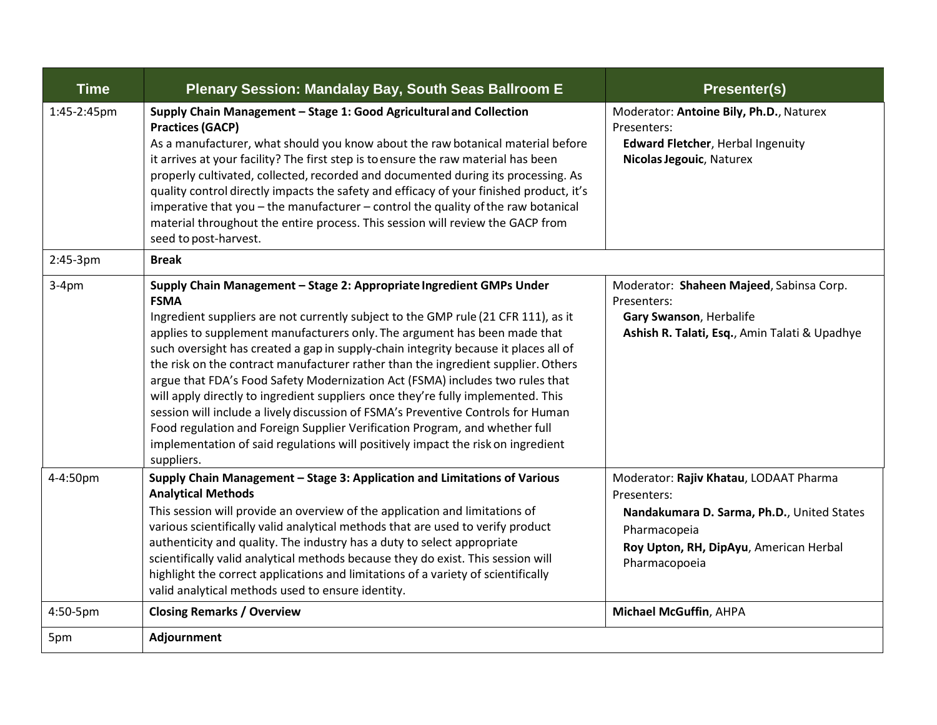| <b>Time</b> | <b>Plenary Session: Mandalay Bay, South Seas Ballroom E</b>                                                                                                                                                                                                                                                                                                                                                                                                                                                                                                                                                                                                                                                                                                                                                                                                                  | <b>Presenter(s)</b>                                                                                                                                                            |
|-------------|------------------------------------------------------------------------------------------------------------------------------------------------------------------------------------------------------------------------------------------------------------------------------------------------------------------------------------------------------------------------------------------------------------------------------------------------------------------------------------------------------------------------------------------------------------------------------------------------------------------------------------------------------------------------------------------------------------------------------------------------------------------------------------------------------------------------------------------------------------------------------|--------------------------------------------------------------------------------------------------------------------------------------------------------------------------------|
| 1:45-2:45pm | Supply Chain Management - Stage 1: Good Agricultural and Collection<br><b>Practices (GACP)</b><br>As a manufacturer, what should you know about the raw botanical material before<br>it arrives at your facility? The first step is to ensure the raw material has been<br>properly cultivated, collected, recorded and documented during its processing. As<br>quality control directly impacts the safety and efficacy of your finished product, it's<br>imperative that you - the manufacturer - control the quality of the raw botanical<br>material throughout the entire process. This session will review the GACP from<br>seed to post-harvest.                                                                                                                                                                                                                      | Moderator: Antoine Bily, Ph.D., Naturex<br>Presenters:<br>Edward Fletcher, Herbal Ingenuity<br>Nicolas Jegouic, Naturex                                                        |
| $2:45-3pm$  | <b>Break</b>                                                                                                                                                                                                                                                                                                                                                                                                                                                                                                                                                                                                                                                                                                                                                                                                                                                                 |                                                                                                                                                                                |
| $3-4pm$     | Supply Chain Management - Stage 2: Appropriate Ingredient GMPs Under<br><b>FSMA</b><br>Ingredient suppliers are not currently subject to the GMP rule (21 CFR 111), as it<br>applies to supplement manufacturers only. The argument has been made that<br>such oversight has created a gap in supply-chain integrity because it places all of<br>the risk on the contract manufacturer rather than the ingredient supplier. Others<br>argue that FDA's Food Safety Modernization Act (FSMA) includes two rules that<br>will apply directly to ingredient suppliers once they're fully implemented. This<br>session will include a lively discussion of FSMA's Preventive Controls for Human<br>Food regulation and Foreign Supplier Verification Program, and whether full<br>implementation of said regulations will positively impact the risk on ingredient<br>suppliers. | Moderator: Shaheen Majeed, Sabinsa Corp.<br>Presenters:<br>Gary Swanson, Herbalife<br>Ashish R. Talati, Esq., Amin Talati & Upadhye                                            |
| 4-4:50pm    | Supply Chain Management - Stage 3: Application and Limitations of Various<br><b>Analytical Methods</b><br>This session will provide an overview of the application and limitations of<br>various scientifically valid analytical methods that are used to verify product<br>authenticity and quality. The industry has a duty to select appropriate<br>scientifically valid analytical methods because they do exist. This session will<br>highlight the correct applications and limitations of a variety of scientifically<br>valid analytical methods used to ensure identity.                                                                                                                                                                                                                                                                                            | Moderator: Rajiv Khatau, LODAAT Pharma<br>Presenters:<br>Nandakumara D. Sarma, Ph.D., United States<br>Pharmacopeia<br>Roy Upton, RH, DipAyu, American Herbal<br>Pharmacopoeia |
| 4:50-5pm    | <b>Closing Remarks / Overview</b>                                                                                                                                                                                                                                                                                                                                                                                                                                                                                                                                                                                                                                                                                                                                                                                                                                            | Michael McGuffin, AHPA                                                                                                                                                         |
| 5pm         | Adjournment                                                                                                                                                                                                                                                                                                                                                                                                                                                                                                                                                                                                                                                                                                                                                                                                                                                                  |                                                                                                                                                                                |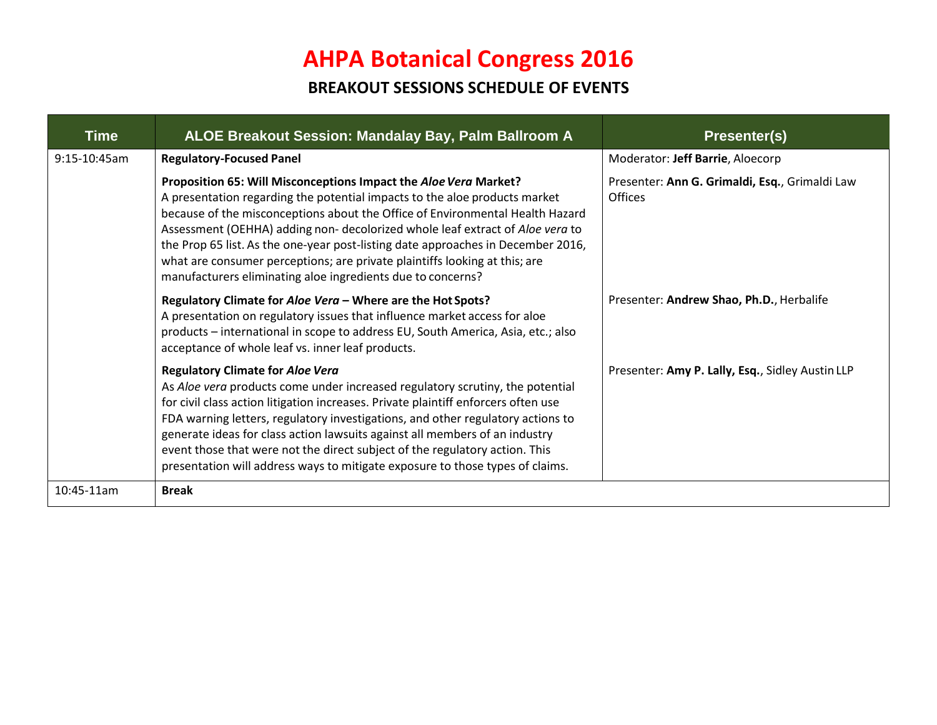### **AHPA Botanical Congress 2016**

#### **BREAKOUT SESSIONS SCHEDULE OF EVENTS**

| <b>Time</b>  | ALOE Breakout Session: Mandalay Bay, Palm Ballroom A                                                                                                                                                                                                                                                                                                                                                                                                                                                                                             | <b>Presenter(s)</b>                                       |
|--------------|--------------------------------------------------------------------------------------------------------------------------------------------------------------------------------------------------------------------------------------------------------------------------------------------------------------------------------------------------------------------------------------------------------------------------------------------------------------------------------------------------------------------------------------------------|-----------------------------------------------------------|
| 9:15-10:45am | <b>Regulatory-Focused Panel</b>                                                                                                                                                                                                                                                                                                                                                                                                                                                                                                                  | Moderator: Jeff Barrie, Aloecorp                          |
|              | Proposition 65: Will Misconceptions Impact the Aloe Vera Market?<br>A presentation regarding the potential impacts to the aloe products market<br>because of the misconceptions about the Office of Environmental Health Hazard<br>Assessment (OEHHA) adding non-decolorized whole leaf extract of Aloe vera to<br>the Prop 65 list. As the one-year post-listing date approaches in December 2016,<br>what are consumer perceptions; are private plaintiffs looking at this; are<br>manufacturers eliminating aloe ingredients due to concerns? | Presenter: Ann G. Grimaldi, Esq., Grimaldi Law<br>Offices |
|              | Regulatory Climate for Aloe Vera - Where are the Hot Spots?<br>A presentation on regulatory issues that influence market access for aloe<br>products - international in scope to address EU, South America, Asia, etc.; also<br>acceptance of whole leaf vs. inner leaf products.                                                                                                                                                                                                                                                                | Presenter: Andrew Shao, Ph.D., Herbalife                  |
|              | <b>Regulatory Climate for Aloe Vera</b><br>As Aloe vera products come under increased regulatory scrutiny, the potential<br>for civil class action litigation increases. Private plaintiff enforcers often use<br>FDA warning letters, regulatory investigations, and other regulatory actions to<br>generate ideas for class action lawsuits against all members of an industry<br>event those that were not the direct subject of the regulatory action. This<br>presentation will address ways to mitigate exposure to those types of claims. | Presenter: Amy P. Lally, Esq., Sidley Austin LLP          |
| 10:45-11am   | <b>Break</b>                                                                                                                                                                                                                                                                                                                                                                                                                                                                                                                                     |                                                           |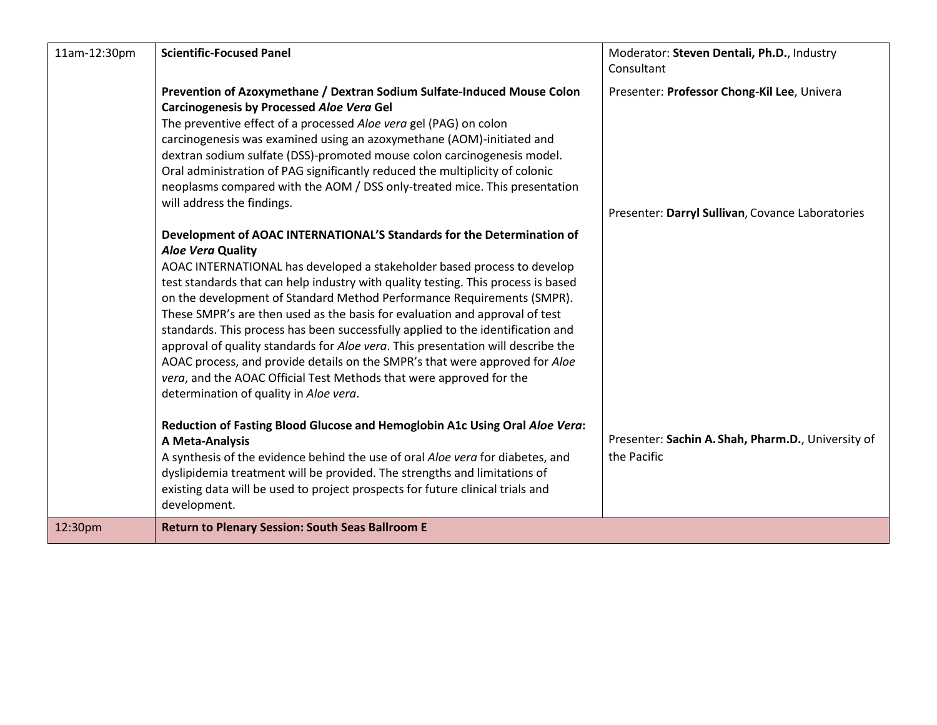| 11am-12:30pm | <b>Scientific-Focused Panel</b>                                                                                                                                                                                                                                                                                                                                                                                                                                                                                                                                                                                                                                                                                                                                                                    | Moderator: Steven Dentali, Ph.D., Industry<br>Consultant          |
|--------------|----------------------------------------------------------------------------------------------------------------------------------------------------------------------------------------------------------------------------------------------------------------------------------------------------------------------------------------------------------------------------------------------------------------------------------------------------------------------------------------------------------------------------------------------------------------------------------------------------------------------------------------------------------------------------------------------------------------------------------------------------------------------------------------------------|-------------------------------------------------------------------|
|              | Prevention of Azoxymethane / Dextran Sodium Sulfate-Induced Mouse Colon<br>Carcinogenesis by Processed Aloe Vera Gel<br>The preventive effect of a processed Aloe vera gel (PAG) on colon<br>carcinogenesis was examined using an azoxymethane (AOM)-initiated and<br>dextran sodium sulfate (DSS)-promoted mouse colon carcinogenesis model.<br>Oral administration of PAG significantly reduced the multiplicity of colonic<br>neoplasms compared with the AOM / DSS only-treated mice. This presentation<br>will address the findings.                                                                                                                                                                                                                                                          | Presenter: Professor Chong-Kil Lee, Univera                       |
|              |                                                                                                                                                                                                                                                                                                                                                                                                                                                                                                                                                                                                                                                                                                                                                                                                    | Presenter: Darryl Sullivan, Covance Laboratories                  |
|              | Development of AOAC INTERNATIONAL'S Standards for the Determination of<br><b>Aloe Vera Quality</b><br>AOAC INTERNATIONAL has developed a stakeholder based process to develop<br>test standards that can help industry with quality testing. This process is based<br>on the development of Standard Method Performance Requirements (SMPR).<br>These SMPR's are then used as the basis for evaluation and approval of test<br>standards. This process has been successfully applied to the identification and<br>approval of quality standards for Aloe vera. This presentation will describe the<br>AOAC process, and provide details on the SMPR's that were approved for Aloe<br>vera, and the AOAC Official Test Methods that were approved for the<br>determination of quality in Aloe vera. |                                                                   |
|              | Reduction of Fasting Blood Glucose and Hemoglobin A1c Using Oral Aloe Vera:<br>A Meta-Analysis<br>A synthesis of the evidence behind the use of oral Aloe vera for diabetes, and<br>dyslipidemia treatment will be provided. The strengths and limitations of<br>existing data will be used to project prospects for future clinical trials and<br>development.                                                                                                                                                                                                                                                                                                                                                                                                                                    | Presenter: Sachin A. Shah, Pharm.D., University of<br>the Pacific |
| 12:30pm      | <b>Return to Plenary Session: South Seas Ballroom E</b>                                                                                                                                                                                                                                                                                                                                                                                                                                                                                                                                                                                                                                                                                                                                            |                                                                   |